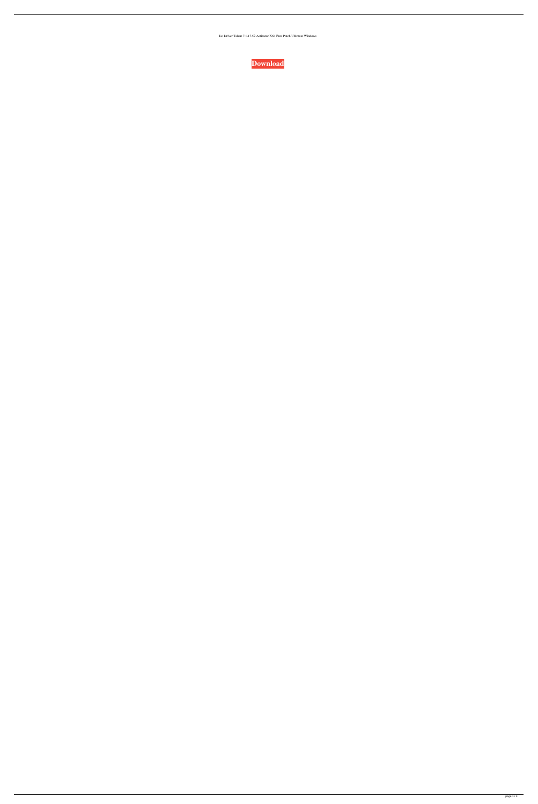Iso Driver Talent 7.1.17.52 Activator X64 Free Patch Ultimate Windows

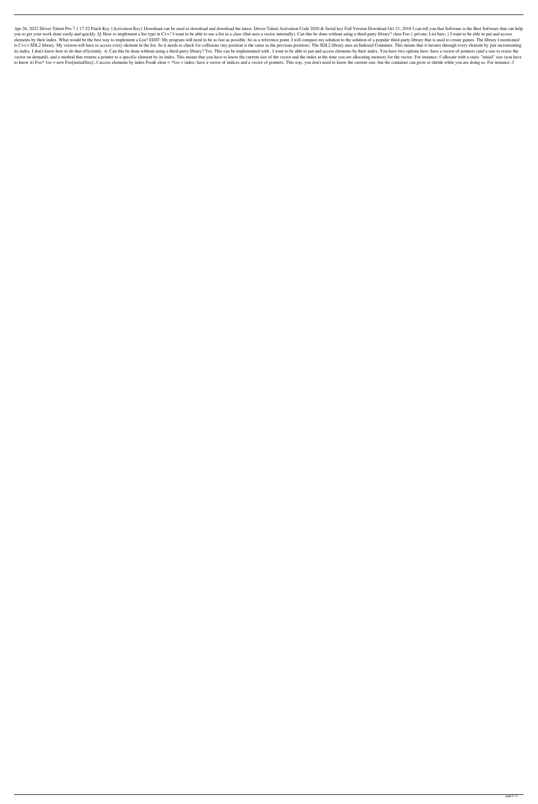Apr 26, 2022 Driver Talent Pro 7.1.17.52 Patch Key { Activation Key} Download can be used to download and download the latest. Driver Talent Activation Code 2020 & Serial key Full Version Download Oct 21, 2018 I can tell y you to get your work done easily and quickly. Q: How to implement a list type in C++? I want to be able to use a list in a class (that uses a vector internally). Can this be done without using a third-party library? class elements by their index. What would be the best way to implement a List? EDIT: My program will need to be as fast as possible. So as a reference point, I will compare my solution to the solution of a popular third-party li is C++'s SDL2 library. My version will have to access every element in the list. So it needs to check for collisions (my position is the same as the previous position). The SDL2 library uses an Indexed Container. This mean its index. I don't know how to do that efficiently. A: Can this be done without using a third-party library? Yes. This can be implemented with. I want to be able to put and access elements by their index. You have two opti vector on demand), and a method that returns a pointer to a specific element by its index. This means that you have to know the current size of the vector and the index at the time you are allocating memory for the vector. to know it) Foo\* foo = new Foo[initialSize]; // access elements by index Foo& elem = \*foo + index; have a vector of indices and a vector of pointers. This way, you don't need to know the current size, but the container can